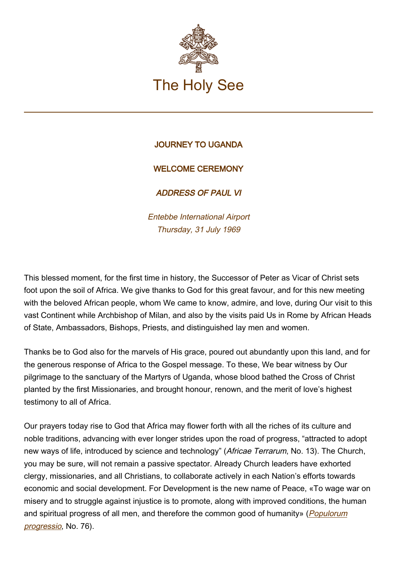

## JOURNEY TO UGANDA

## WELCOME CEREMONY

ADDRESS OF PAUL VI

Entebbe International Airport Thursday, 31 July 1969

This blessed moment, for the first time in history, the Successor of Peter as Vicar of Christ sets foot upon the soil of Africa. We give thanks to God for this great favour, and for this new meeting with the beloved African people, whom We came to know, admire, and love, during Our visit to this vast Continent while Archbishop of Milan, and also by the visits paid Us in Rome by African Heads of State, Ambassadors, Bishops, Priests, and distinguished lay men and women.

Thanks be to God also for the marvels of His grace, poured out abundantly upon this land, and for the generous response of Africa to the Gospel message. To these, We bear witness by Our pilgrimage to the sanctuary of the Martyrs of Uganda, whose blood bathed the Cross of Christ planted by the first Missionaries, and brought honour, renown, and the merit of love's highest testimony to all of Africa.

Our prayers today rise to God that Africa may flower forth with all the riches of its culture and noble traditions, advancing with ever longer strides upon the road of progress, "attracted to adopt new ways of life, introduced by science and technology" (Africae Terrarum, No. 13). The Church, you may be sure, will not remain a passive spectator. Already Church leaders have exhorted clergy, missionaries, and all Christians, to collaborate actively in each Nation's efforts towards economic and social development. For Development is the new name of Peace, «To wage war on misery and to struggle against injustice is to promote, along with improved conditions, the human and spiritual progress of all men, and therefore the common good of humanity» ([Populorum](https://www.vatican.va/content/paul-vi/fr/encyclicals/documents/hf_p-vi_enc_26031967_populorum.html) [progressio](https://www.vatican.va/content/paul-vi/fr/encyclicals/documents/hf_p-vi_enc_26031967_populorum.html), No. 76).